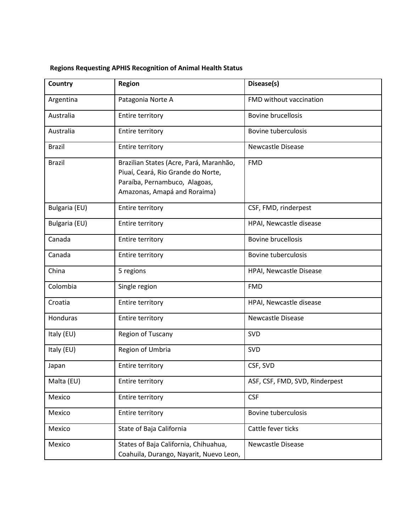## **Regions Requesting APHIS Recognition of Animal Health Status**

| Country       | <b>Region</b>                                                                                                                                  | Disease(s)                     |
|---------------|------------------------------------------------------------------------------------------------------------------------------------------------|--------------------------------|
| Argentina     | Patagonia Norte A                                                                                                                              | FMD without vaccination        |
| Australia     | <b>Entire territory</b>                                                                                                                        | <b>Bovine brucellosis</b>      |
| Australia     | <b>Entire territory</b>                                                                                                                        | <b>Bovine tuberculosis</b>     |
| <b>Brazil</b> | <b>Entire territory</b>                                                                                                                        | <b>Newcastle Disease</b>       |
| <b>Brazil</b> | Brazilian States (Acre, Pará, Maranhão,<br>Piuaí, Ceará, Rio Grande do Norte,<br>Paraíba, Pernambuco, Alagoas,<br>Amazonas, Amapá and Roraima) | <b>FMD</b>                     |
| Bulgaria (EU) | <b>Entire territory</b>                                                                                                                        | CSF, FMD, rinderpest           |
| Bulgaria (EU) | <b>Entire territory</b>                                                                                                                        | HPAI, Newcastle disease        |
| Canada        | Entire territory                                                                                                                               | <b>Bovine brucellosis</b>      |
| Canada        | <b>Entire territory</b>                                                                                                                        | <b>Bovine tuberculosis</b>     |
| China         | 5 regions                                                                                                                                      | HPAI, Newcastle Disease        |
| Colombia      | Single region                                                                                                                                  | <b>FMD</b>                     |
| Croatia       | <b>Entire territory</b>                                                                                                                        | HPAI, Newcastle disease        |
| Honduras      | <b>Entire territory</b>                                                                                                                        | <b>Newcastle Disease</b>       |
| Italy (EU)    | Region of Tuscany                                                                                                                              | <b>SVD</b>                     |
| Italy (EU)    | Region of Umbria                                                                                                                               | SVD                            |
| Japan         | Entire territory                                                                                                                               | CSF, SVD                       |
| Malta (EU)    | <b>Entire territory</b>                                                                                                                        | ASF, CSF, FMD, SVD, Rinderpest |
| Mexico        | <b>Entire territory</b>                                                                                                                        | <b>CSF</b>                     |
| Mexico        | <b>Entire territory</b>                                                                                                                        | <b>Bovine tuberculosis</b>     |
| Mexico        | State of Baja California                                                                                                                       | Cattle fever ticks             |
| Mexico        | States of Baja California, Chihuahua,<br>Coahuila, Durango, Nayarit, Nuevo Leon,                                                               | Newcastle Disease              |